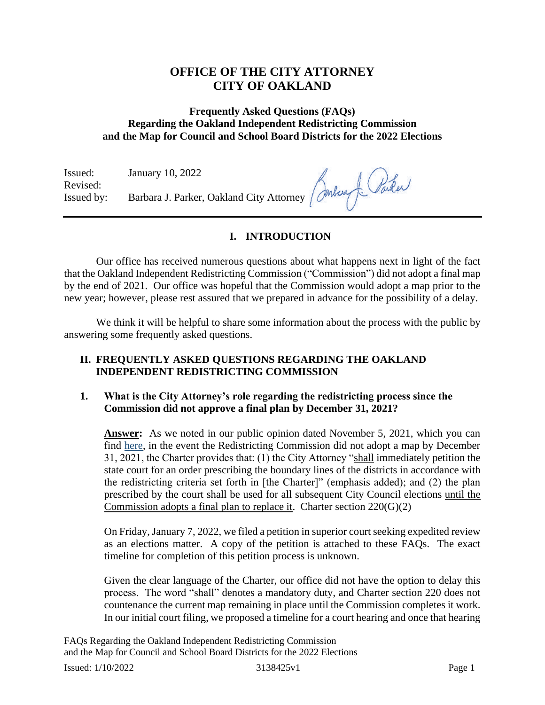# **OFFICE OF THE CITY ATTORNEY CITY OF OAKLAND**

# **Frequently Asked Questions (FAQs) Regarding the Oakland Independent Redistricting Commission and the Map for Council and School Board Districts for the 2022 Elections**

Issued: January 10, 2022 Revised: Issued by: Barbara J. Parker, Oakland City Attorney

# **I. INTRODUCTION**

Our office has received numerous questions about what happens next in light of the fact that the Oakland Independent Redistricting Commission ("Commission") did not adopt a final map by the end of 2021. Our office was hopeful that the Commission would adopt a map prior to the new year; however, please rest assured that we prepared in advance for the possibility of a delay.

We think it will be helpful to share some information about the process with the public by answering some frequently asked questions.

## **II. FREQUENTLY ASKED QUESTIONS REGARDING THE OAKLAND INDEPENDENT REDISTRICTING COMMISSION**

## **1. What is the City Attorney's role regarding the redistricting process since the Commission did not approve a final plan by December 31, 2021?**

**Answer:** As we noted in our public opinion dated November 5, 2021, which you can find [here,](https://www.oaklandcityattorney.org/PDFS/Legal%20Opinions/Public%20Legal%20Opinion%20-%20Whether%20the%20Deadline%20for%20the%20Adoption%20of%20the%20Final%20Redistricting%20Plan%20Can%20Be%20Extended.pdf) in the event the Redistricting Commission did not adopt a map by December 31, 2021, the Charter provides that: (1) the City Attorney "shall immediately petition the state court for an order prescribing the boundary lines of the districts in accordance with the redistricting criteria set forth in [the Charter]" (emphasis added); and (2) the plan prescribed by the court shall be used for all subsequent City Council elections until the Commission adopts a final plan to replace it. Charter section 220(G)(2)

On Friday, January 7, 2022, we filed a petition in superior court seeking expedited review as an elections matter. A copy of the petition is attached to these FAQs. The exact timeline for completion of this petition process is unknown.

Given the clear language of the Charter, our office did not have the option to delay this process. The word "shall" denotes a mandatory duty, and Charter section 220 does not countenance the current map remaining in place until the Commission completes it work. In our initial court filing, we proposed a timeline for a court hearing and once that hearing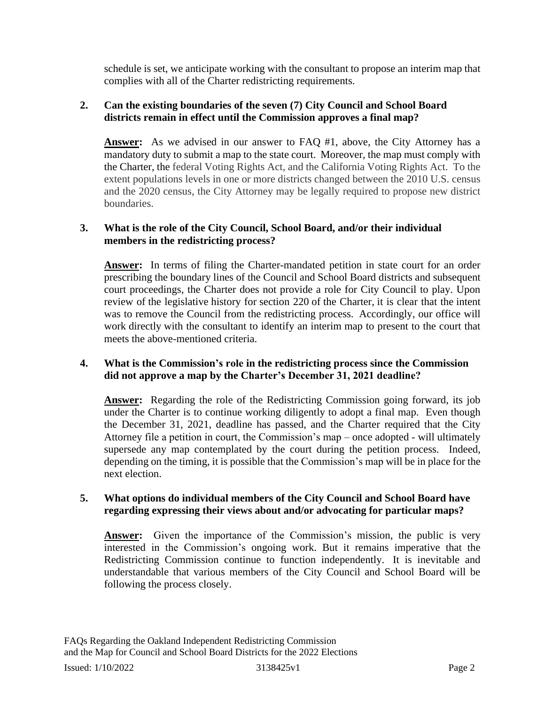schedule is set, we anticipate working with the consultant to propose an interim map that complies with all of the Charter redistricting requirements.

## **2. Can the existing boundaries of the seven (7) City Council and School Board districts remain in effect until the Commission approves a final map?**

**Answer:** As we advised in our answer to FAQ #1, above, the City Attorney has a mandatory duty to submit a map to the state court. Moreover, the map must comply with the Charter, the federal Voting Rights Act, and the California Voting Rights Act. To the extent populations levels in one or more districts changed between the 2010 U.S. census and the 2020 census, the City Attorney may be legally required to propose new district boundaries.

## **3. What is the role of the City Council, School Board, and/or their individual members in the redistricting process?**

**Answer:** In terms of filing the Charter-mandated petition in state court for an order prescribing the boundary lines of the Council and School Board districts and subsequent court proceedings, the Charter does not provide a role for City Council to play. Upon review of the legislative history for section 220 of the Charter, it is clear that the intent was to remove the Council from the redistricting process. Accordingly, our office will work directly with the consultant to identify an interim map to present to the court that meets the above-mentioned criteria.

# **4. What is the Commission's role in the redistricting process since the Commission did not approve a map by the Charter's December 31, 2021 deadline?**

**Answer:** Regarding the role of the Redistricting Commission going forward, its job under the Charter is to continue working diligently to adopt a final map. Even though the December 31, 2021, deadline has passed, and the Charter required that the City Attorney file a petition in court, the Commission's map – once adopted - will ultimately supersede any map contemplated by the court during the petition process. Indeed, depending on the timing, it is possible that the Commission's map will be in place for the next election.

#### **5. What options do individual members of the City Council and School Board have regarding expressing their views about and/or advocating for particular maps?**

**Answer:** Given the importance of the Commission's mission, the public is very interested in the Commission's ongoing work. But it remains imperative that the Redistricting Commission continue to function independently. It is inevitable and understandable that various members of the City Council and School Board will be following the process closely.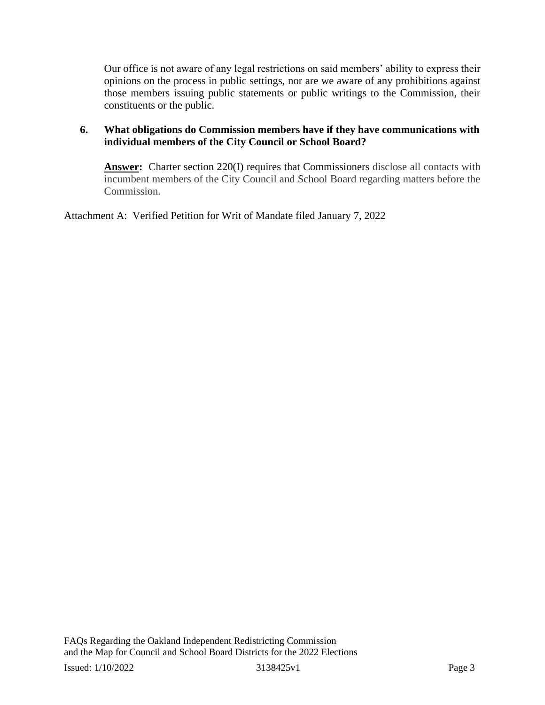Our office is not aware of any legal restrictions on said members' ability to express their opinions on the process in public settings, nor are we aware of any prohibitions against those members issuing public statements or public writings to the Commission, their constituents or the public.

## **6. What obligations do Commission members have if they have communications with individual members of the City Council or School Board?**

**Answer:** Charter section 220(I) requires that Commissioners disclose all contacts with incumbent members of the City Council and School Board regarding matters before the Commission.

Attachment A: Verified Petition for Writ of Mandate filed January 7, 2022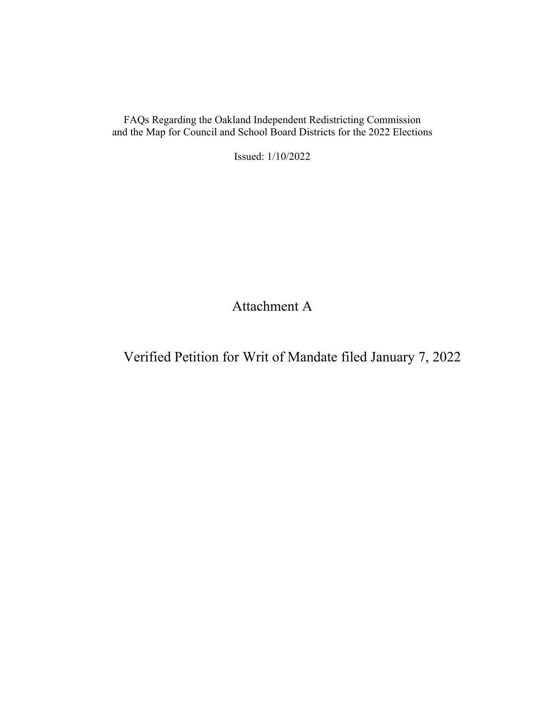FAQs Regarding the Oakland Independent Redistricting Commission and the Map for Council and School Board Districts for the 2022 Elections

Issued: 1/10/2022

Attachment A

Verified Petition for Writ of Mandate filed January 7, 2022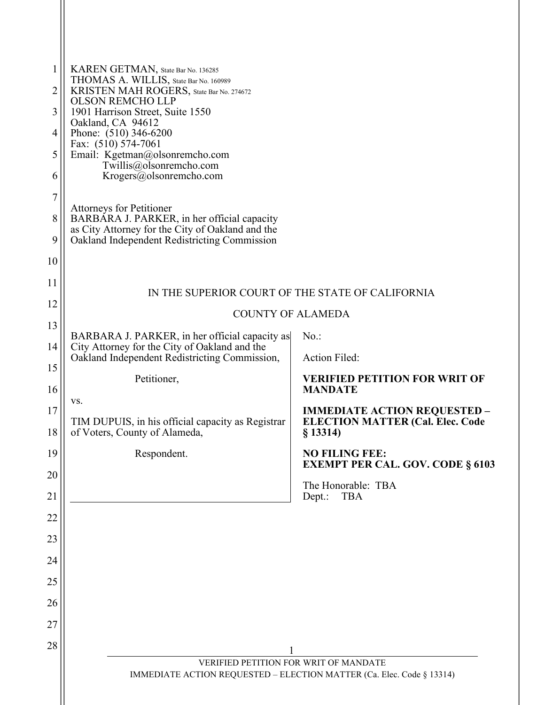| 1<br>2<br>3<br>4<br>5<br>6<br>7<br>8<br>9<br>10<br>11 | KAREN GETMAN, State Bar No. 136285<br>THOMAS A. WILLIS, State Bar No. 160989<br>KRISTEN MAH ROGERS, State Bar No. 274672<br><b>OLSON REMCHO LLP</b><br>1901 Harrison Street, Suite 1550<br>Oakland, CA 94612<br>Phone: (510) 346-6200<br>Fax: (510) 574-7061<br>Email: Kgetman@olsonremcho.com<br>Twillis@olsonremcho.com<br>Krogers@olsonremcho.com<br><b>Attorneys for Petitioner</b><br>BARBARA J. PARKER, in her official capacity<br>as City Attorney for the City of Oakland and the<br>Oakland Independent Redistricting Commission |                                                                                            |
|-------------------------------------------------------|--------------------------------------------------------------------------------------------------------------------------------------------------------------------------------------------------------------------------------------------------------------------------------------------------------------------------------------------------------------------------------------------------------------------------------------------------------------------------------------------------------------------------------------------|--------------------------------------------------------------------------------------------|
| 12                                                    | IN THE SUPERIOR COURT OF THE STATE OF CALIFORNIA<br><b>COUNTY OF ALAMEDA</b>                                                                                                                                                                                                                                                                                                                                                                                                                                                               |                                                                                            |
| 13                                                    |                                                                                                                                                                                                                                                                                                                                                                                                                                                                                                                                            |                                                                                            |
| 14                                                    | BARBARA J. PARKER, in her official capacity as<br>City Attorney for the City of Oakland and the<br>Oakland Independent Redistricting Commission,                                                                                                                                                                                                                                                                                                                                                                                           | $No.$ :<br>Action Filed:                                                                   |
| 15                                                    | Petitioner,                                                                                                                                                                                                                                                                                                                                                                                                                                                                                                                                | <b>VERIFIED PETITION FOR WRIT OF</b>                                                       |
| 16                                                    | VS.                                                                                                                                                                                                                                                                                                                                                                                                                                                                                                                                        | <b>MANDATE</b>                                                                             |
| 17<br>18                                              | TIM DUPUIS, in his official capacity as Registrar<br>of Voters, County of Alameda,                                                                                                                                                                                                                                                                                                                                                                                                                                                         | <b>IMMEDIATE ACTION REQUESTED -</b><br><b>ELECTION MATTER (Cal. Elec. Code</b><br>§ 13314) |
| 19                                                    | Respondent.                                                                                                                                                                                                                                                                                                                                                                                                                                                                                                                                | <b>NO FILING FEE:</b><br><b>EXEMPT PER CAL. GOV. CODE § 6103</b>                           |
| 20                                                    |                                                                                                                                                                                                                                                                                                                                                                                                                                                                                                                                            | The Honorable: TBA                                                                         |
| 21                                                    |                                                                                                                                                                                                                                                                                                                                                                                                                                                                                                                                            | Dept.:<br><b>TBA</b>                                                                       |
| 22                                                    |                                                                                                                                                                                                                                                                                                                                                                                                                                                                                                                                            |                                                                                            |
| 23                                                    |                                                                                                                                                                                                                                                                                                                                                                                                                                                                                                                                            |                                                                                            |
| 24                                                    |                                                                                                                                                                                                                                                                                                                                                                                                                                                                                                                                            |                                                                                            |
| 25                                                    |                                                                                                                                                                                                                                                                                                                                                                                                                                                                                                                                            |                                                                                            |
| 26                                                    |                                                                                                                                                                                                                                                                                                                                                                                                                                                                                                                                            |                                                                                            |
| 27                                                    |                                                                                                                                                                                                                                                                                                                                                                                                                                                                                                                                            |                                                                                            |
| 28                                                    |                                                                                                                                                                                                                                                                                                                                                                                                                                                                                                                                            |                                                                                            |
|                                                       | VERIFIED PETITION FOR WRIT OF MANDATE<br>IMMEDIATE ACTION REQUESTED - ELECTION MATTER (Ca. Elec. Code § 13314)                                                                                                                                                                                                                                                                                                                                                                                                                             |                                                                                            |

 $\mathsf{I}$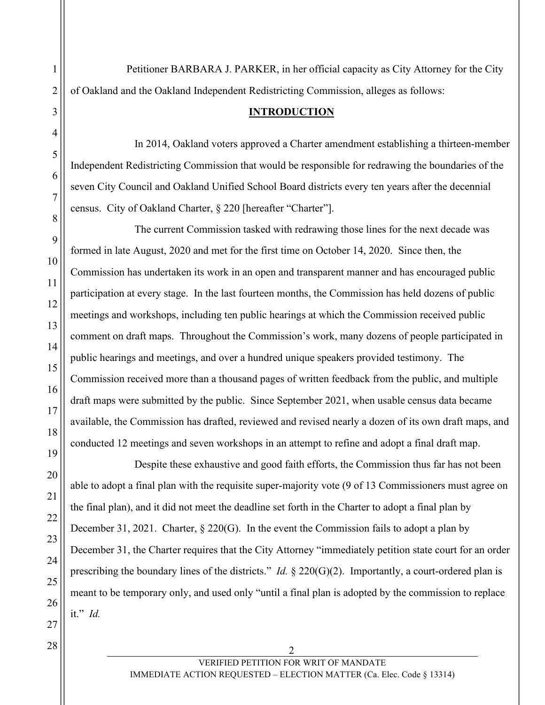Petitioner BARBARA J. PARKER, in her official capacity as City Attorney for the City of Oakland and the Oakland Independent Redistricting Commission, alleges as follows:

#### **INTRODUCTION**

In 2014, Oakland voters approved a Charter amendment establishing a thirteen-member Independent Redistricting Commission that would be responsible for redrawing the boundaries of the seven City Council and Oakland Unified School Board districts every ten years after the decennial census. City of Oakland Charter, § 220 [hereafter "Charter"].

The current Commission tasked with redrawing those lines for the next decade was formed in late August, 2020 and met for the first time on October 14, 2020. Since then, the Commission has undertaken its work in an open and transparent manner and has encouraged public participation at every stage. In the last fourteen months, the Commission has held dozens of public meetings and workshops, including ten public hearings at which the Commission received public comment on draft maps. Throughout the Commission's work, many dozens of people participated in public hearings and meetings, and over a hundred unique speakers provided testimony. The Commission received more than a thousand pages of written feedback from the public, and multiple draft maps were submitted by the public. Since September 2021, when usable census data became available, the Commission has drafted, reviewed and revised nearly a dozen of its own draft maps, and conducted 12 meetings and seven workshops in an attempt to refine and adopt a final draft map.

Despite these exhaustive and good faith efforts, the Commission thus far has not been able to adopt a final plan with the requisite super-majority vote (9 of 13 Commissioners must agree on the final plan), and it did not meet the deadline set forth in the Charter to adopt a final plan by December 31, 2021. Charter, § 220(G). In the event the Commission fails to adopt a plan by December 31, the Charter requires that the City Attorney "immediately petition state court for an order prescribing the boundary lines of the districts." *Id.* § 220(G)(2). Importantly, a court-ordered plan is meant to be temporary only, and used only "until a final plan is adopted by the commission to replace it." *Id.*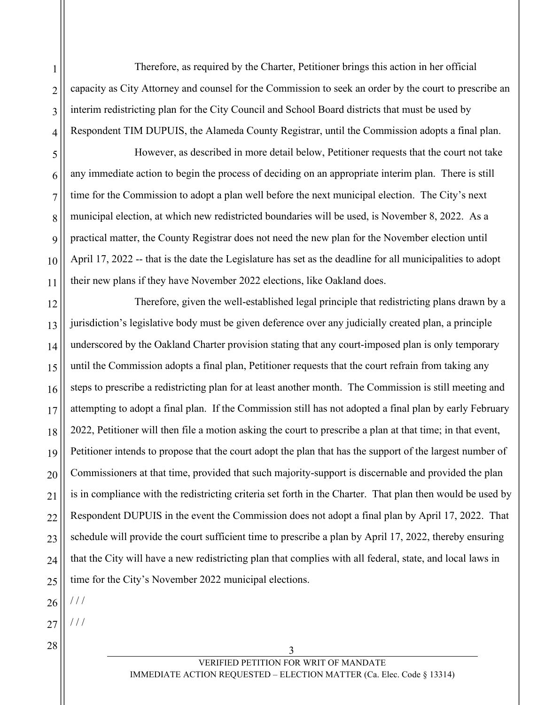1 2 3 4 Therefore, as required by the Charter, Petitioner brings this action in her official capacity as City Attorney and counsel for the Commission to seek an order by the court to prescribe an interim redistricting plan for the City Council and School Board districts that must be used by Respondent TIM DUPUIS, the Alameda County Registrar, until the Commission adopts a final plan.

5 6 7 8 9 10 11 However, as described in more detail below, Petitioner requests that the court not take any immediate action to begin the process of deciding on an appropriate interim plan. There is still time for the Commission to adopt a plan well before the next municipal election. The City's next municipal election, at which new redistricted boundaries will be used, is November 8, 2022. As a practical matter, the County Registrar does not need the new plan for the November election until April 17, 2022 -- that is the date the Legislature has set as the deadline for all municipalities to adopt their new plans if they have November 2022 elections, like Oakland does.

12 13 14 15 16 17 18 19 20 21 22 23 24 25 Therefore, given the well-established legal principle that redistricting plans drawn by a jurisdiction's legislative body must be given deference over any judicially created plan, a principle underscored by the Oakland Charter provision stating that any court-imposed plan is only temporary until the Commission adopts a final plan, Petitioner requests that the court refrain from taking any steps to prescribe a redistricting plan for at least another month. The Commission is still meeting and attempting to adopt a final plan. If the Commission still has not adopted a final plan by early February 2022, Petitioner will then file a motion asking the court to prescribe a plan at that time; in that event, Petitioner intends to propose that the court adopt the plan that has the support of the largest number of Commissioners at that time, provided that such majority-support is discernable and provided the plan is in compliance with the redistricting criteria set forth in the Charter. That plan then would be used by Respondent DUPUIS in the event the Commission does not adopt a final plan by April 17, 2022. That schedule will provide the court sufficient time to prescribe a plan by April 17, 2022, thereby ensuring that the City will have a new redistricting plan that complies with all federal, state, and local laws in time for the City's November 2022 municipal elections.

26 / / /

/ / /

27

 $\begin{array}{|c|c|c|c|c|}\n\hline\n28 & 3 \\
\hline\n\end{array}$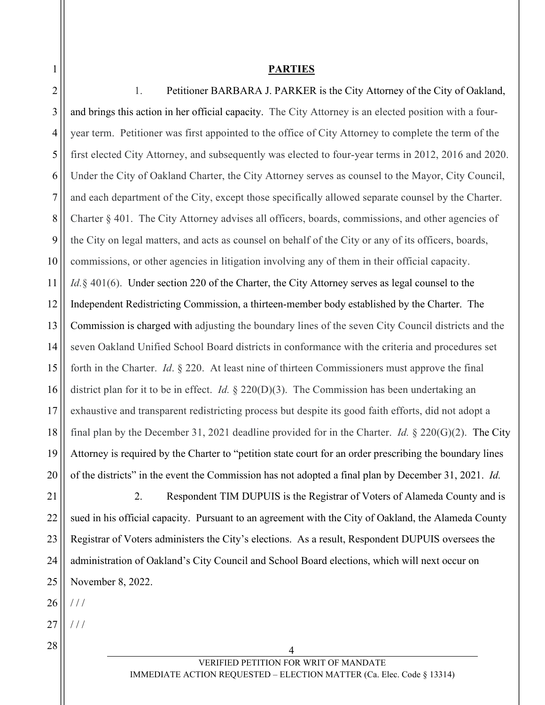1

#### **PARTIES**

2 3 4 5 6 7 8 9 10 11 12 13 14 15 16 17 18 19 20 21 22 23 24 25 26 27  $\begin{array}{|c|c|c|c|c|}\n\hline\n28 & 4 \\
\hline\n\end{array}$ VERIFIED PETITION FOR WRIT OF MANDATE 1. Petitioner BARBARA J. PARKER is the City Attorney of the City of Oakland, and brings this action in her official capacity. The City Attorney is an elected position with a fouryear term. Petitioner was first appointed to the office of City Attorney to complete the term of the first elected City Attorney, and subsequently was elected to four-year terms in 2012, 2016 and 2020. Under the City of Oakland Charter, the City Attorney serves as counsel to the Mayor, City Council, and each department of the City, except those specifically allowed separate counsel by the Charter. Charter § 401. The City Attorney advises all officers, boards, commissions, and other agencies of the City on legal matters, and acts as counsel on behalf of the City or any of its officers, boards, commissions, or other agencies in litigation involving any of them in their official capacity. *Id.* § 401(6). Under section 220 of the Charter, the City Attorney serves as legal counsel to the Independent Redistricting Commission, a thirteen-member body established by the Charter. The Commission is charged with adjusting the boundary lines of the seven City Council districts and the seven Oakland Unified School Board districts in conformance with the criteria and procedures set forth in the Charter. *Id*. § 220. At least nine of thirteen Commissioners must approve the final district plan for it to be in effect. *Id.* § 220(D)(3). The Commission has been undertaking an exhaustive and transparent redistricting process but despite its good faith efforts, did not adopt a final plan by the December 31, 2021 deadline provided for in the Charter. *Id.* § 220(G)(2). The City Attorney is required by the Charter to "petition state court for an order prescribing the boundary lines of the districts" in the event the Commission has not adopted a final plan by December 31, 2021. *Id.* 2. Respondent TIM DUPUIS is the Registrar of Voters of Alameda County and is sued in his official capacity. Pursuant to an agreement with the City of Oakland, the Alameda County Registrar of Voters administers the City's elections. As a result, Respondent DUPUIS oversees the administration of Oakland's City Council and School Board elections, which will next occur on November 8, 2022.  $//$ / / /

IMMEDIATE ACTION REQUESTED – ELECTION MATTER (Ca. Elec. Code § 13314)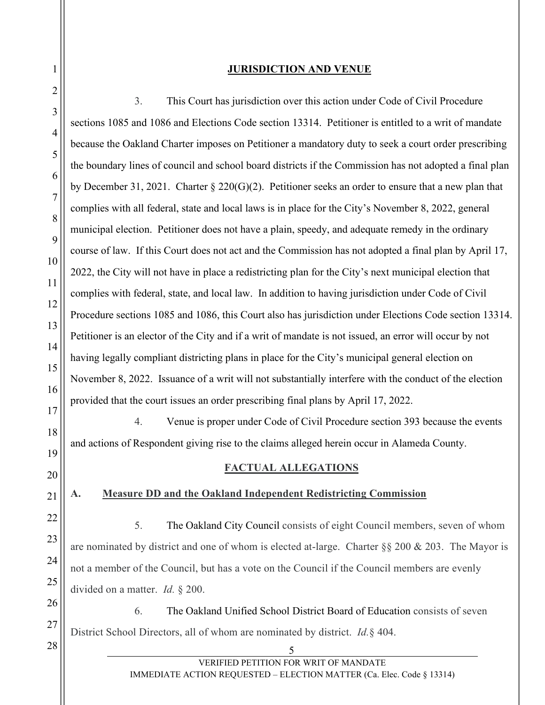# **JURISDICTION AND VENUE**

| $\sqrt{2}$      |                                                                                                                       |  |
|-----------------|-----------------------------------------------------------------------------------------------------------------------|--|
| 3               | This Court has jurisdiction over this action under Code of Civil Procedure<br>3.                                      |  |
|                 | sections 1085 and 1086 and Elections Code section 13314. Petitioner is entitled to a writ of mandate                  |  |
| $\overline{4}$  | because the Oakland Charter imposes on Petitioner a mandatory duty to seek a court order prescribing                  |  |
| 5               | the boundary lines of council and school board districts if the Commission has not adopted a final plan               |  |
| 6               | by December 31, 2021. Charter § 220(G)(2). Petitioner seeks an order to ensure that a new plan that                   |  |
| $\tau$          | complies with all federal, state and local laws is in place for the City's November 8, 2022, general                  |  |
| 8               | municipal election. Petitioner does not have a plain, speedy, and adequate remedy in the ordinary                     |  |
| 9               | course of law. If this Court does not act and the Commission has not adopted a final plan by April 17,                |  |
| 10              | 2022, the City will not have in place a redistricting plan for the City's next municipal election that                |  |
| 11              | complies with federal, state, and local law. In addition to having jurisdiction under Code of Civil                   |  |
| 12              | Procedure sections 1085 and 1086, this Court also has jurisdiction under Elections Code section 13314.                |  |
| 13              | Petitioner is an elector of the City and if a writ of mandate is not issued, an error will occur by not               |  |
| 14              | having legally compliant districting plans in place for the City's municipal general election on                      |  |
| 15              | November 8, 2022. Issuance of a writ will not substantially interfere with the conduct of the election                |  |
| 16<br>17        | provided that the court issues an order prescribing final plans by April 17, 2022.                                    |  |
| 18              | 4.<br>Venue is proper under Code of Civil Procedure section 393 because the events                                    |  |
| 19              | and actions of Respondent giving rise to the claims alleged herein occur in Alameda County.                           |  |
| 20              | <b>FACTUAL ALLEGATIONS</b>                                                                                            |  |
| $\overline{21}$ | <b>Measure DD and the Oakland Independent Redistricting Commission</b><br>A.                                          |  |
| 22              |                                                                                                                       |  |
| 23              | 5.<br>The Oakland City Council consists of eight Council members, seven of whom                                       |  |
| 24              | are nominated by district and one of whom is elected at-large. Charter §§ 200 & 203. The Mayor is                     |  |
| 25              | not a member of the Council, but has a vote on the Council if the Council members are evenly                          |  |
| 26              | divided on a matter. <i>Id.</i> $\S$ 200.                                                                             |  |
|                 | The Oakland Unified School District Board of Education consists of seven<br>6.                                        |  |
| 27<br>28        | District School Directors, all of whom are nominated by district. <i>Id.</i> § 404.                                   |  |
|                 | 5                                                                                                                     |  |
|                 | VERIFIED PETITION FOR WRIT OF MANDATE<br><b>IMMEDIATE ACTION REQUESTED – ELECTION MATTER (Ca. Elec. Code § 13314)</b> |  |

1

 $\frac{1}{2}$ 

 $\mathsf{||}$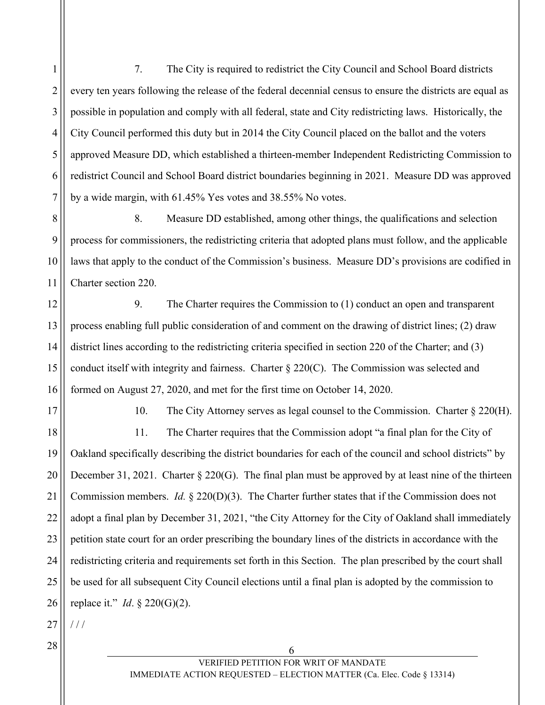1 2 3 4 5 6 7 7. The City is required to redistrict the City Council and School Board districts every ten years following the release of the federal decennial census to ensure the districts are equal as possible in population and comply with all federal, state and City redistricting laws. Historically, the City Council performed this duty but in 2014 the City Council placed on the ballot and the voters approved Measure DD, which established a thirteen-member Independent Redistricting Commission to redistrict Council and School Board district boundaries beginning in 2021. Measure DD was approved by a wide margin, with 61.45% Yes votes and 38.55% No votes.

8 9 10 11 8. Measure DD established, among other things, the qualifications and selection process for commissioners, the redistricting criteria that adopted plans must follow, and the applicable laws that apply to the conduct of the Commission's business. Measure DD's provisions are codified in Charter section 220.

12 13 14 15 16 9. The Charter requires the Commission to (1) conduct an open and transparent process enabling full public consideration of and comment on the drawing of district lines; (2) draw district lines according to the redistricting criteria specified in section 220 of the Charter; and (3) conduct itself with integrity and fairness. Charter  $\S 220(C)$ . The Commission was selected and formed on August 27, 2020, and met for the first time on October 14, 2020.

17

10. The City Attorney serves as legal counsel to the Commission. Charter § 220(H).

18 19 20 21 22 23 24 25 26 11. The Charter requires that the Commission adopt "a final plan for the City of Oakland specifically describing the district boundaries for each of the council and school districts" by December 31, 2021. Charter § 220(G). The final plan must be approved by at least nine of the thirteen Commission members. *Id.* § 220(D)(3). The Charter further states that if the Commission does not adopt a final plan by December 31, 2021, "the City Attorney for the City of Oakland shall immediately petition state court for an order prescribing the boundary lines of the districts in accordance with the redistricting criteria and requirements set forth in this Section. The plan prescribed by the court shall be used for all subsequent City Council elections until a final plan is adopted by the commission to replace it." *Id*. § 220(G)(2).

27 / / /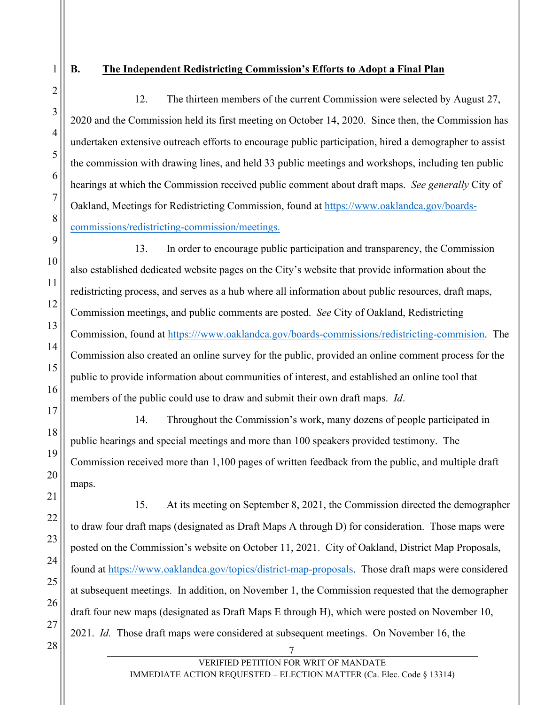1

2

3

4

5

# **B. The Independent Redistricting Commission's Efforts to Adopt a Final Plan**

12. The thirteen members of the current Commission were selected by August 27, 2020 and the Commission held its first meeting on October 14, 2020. Since then, the Commission has undertaken extensive outreach efforts to encourage public participation, hired a demographer to assist the commission with drawing lines, and held 33 public meetings and workshops, including ten public hearings at which the Commission received public comment about draft maps. *See generally* City of Oakland, Meetings for Redistricting Commission, found at [https://www.oaklandca.gov/boards](https://www.oaklandca.gov/boards-commissions/redistricting-commission/meetings)[commissions/redistricting-commission/meetings.](https://www.oaklandca.gov/boards-commissions/redistricting-commission/meetings)

13. In order to encourage public participation and transparency, the Commission also established dedicated website pages on the City's website that provide information about the redistricting process, and serves as a hub where all information about public resources, draft maps, Commission meetings, and public comments are posted. *See* City of Oakland, Redistricting Commission, found at [https:///www.oaklandca.gov/boards-commissions/redistricting-commision.](https://www.oaklandca.gov/boards-commissions/redistricting-commision) The Commission also created an online survey for the public, provided an online comment process for the public to provide information about communities of interest, and established an online tool that members of the public could use to draw and submit their own draft maps. *Id*.

14. Throughout the Commission's work, many dozens of people participated in public hearings and special meetings and more than 100 speakers provided testimony. The Commission received more than 1,100 pages of written feedback from the public, and multiple draft maps.

 $\begin{array}{c|c|c|c|c} \hline \rule{0pt}{1.2ex} & \rule{0pt}{1.2ex} & \rule{0pt}{1.2ex} & \rule{0pt}{1.2ex} & \rule{0pt}{1.2ex} & \rule{0pt}{1.2ex} & \rule{0pt}{1.2ex} & \rule{0pt}{1.2ex} & \rule{0pt}{1.2ex} & \rule{0pt}{1.2ex} & \rule{0pt}{1.2ex} & \rule{0pt}{1.2ex} & \rule{0pt}{1.2ex} & \rule{0pt}{1.2ex} & \rule{0pt}{1.2ex} & \rule{0pt}{1.2ex} & \rule{0pt}{1.2ex$ 15. At its meeting on September 8, 2021, the Commission directed the demographer to draw four draft maps (designated as Draft Maps A through D) for consideration. Those maps were posted on the Commission's website on October 11, 2021. City of Oakland, District Map Proposals, found at [https://www.oaklandca.gov/topics/district-map-proposals.](https://www.oaklandca.gov/topics/district-map-proposals) Those draft maps were considered at subsequent meetings. In addition, on November 1, the Commission requested that the demographer draft four new maps (designated as Draft Maps E through H), which were posted on November 10, 2021. *Id.* Those draft maps were considered at subsequent meetings. On November 16, the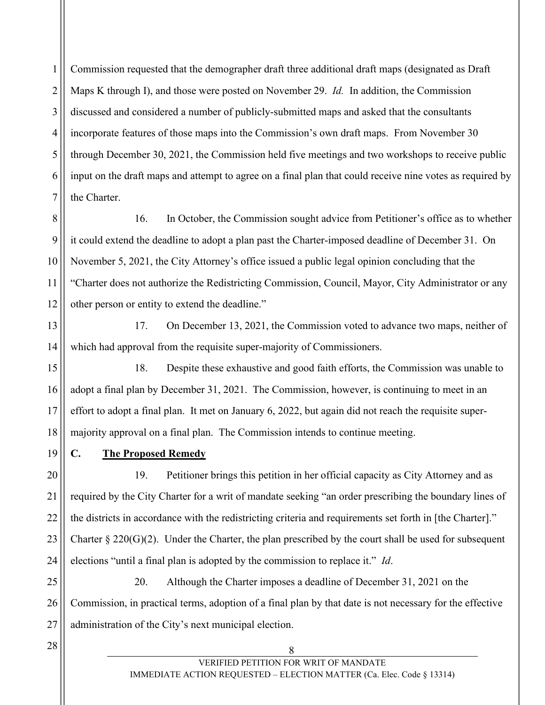1 2 3 4 5 6 7 Commission requested that the demographer draft three additional draft maps (designated as Draft Maps K through I), and those were posted on November 29. *Id.* In addition, the Commission discussed and considered a number of publicly-submitted maps and asked that the consultants incorporate features of those maps into the Commission's own draft maps. From November 30 through December 30, 2021, the Commission held five meetings and two workshops to receive public input on the draft maps and attempt to agree on a final plan that could receive nine votes as required by the Charter.

8 9 10 11 12 16. In October, the Commission sought advice from Petitioner's office as to whether it could extend the deadline to adopt a plan past the Charter-imposed deadline of December 31. On November 5, 2021, the City Attorney's office issued a public legal opinion concluding that the "Charter does not authorize the Redistricting Commission, Council, Mayor, City Administrator or any other person or entity to extend the deadline."

13

14

17. On December 13, 2021, the Commission voted to advance two maps, neither of which had approval from the requisite super-majority of Commissioners.

15 16 17 18 18. Despite these exhaustive and good faith efforts, the Commission was unable to adopt a final plan by December 31, 2021. The Commission, however, is continuing to meet in an effort to adopt a final plan. It met on January 6, 2022, but again did not reach the requisite supermajority approval on a final plan. The Commission intends to continue meeting.

19

**C. The Proposed Remedy** 

20 21 22 23 24 19. Petitioner brings this petition in her official capacity as City Attorney and as required by the City Charter for a writ of mandate seeking "an order prescribing the boundary lines of the districts in accordance with the redistricting criteria and requirements set forth in [the Charter]." Charter  $\S 220(G)(2)$ . Under the Charter, the plan prescribed by the court shall be used for subsequent elections "until a final plan is adopted by the commission to replace it." *Id*.

25 26 27 20. Although the Charter imposes a deadline of December 31, 2021 on the Commission, in practical terms, adoption of a final plan by that date is not necessary for the effective administration of the City's next municipal election.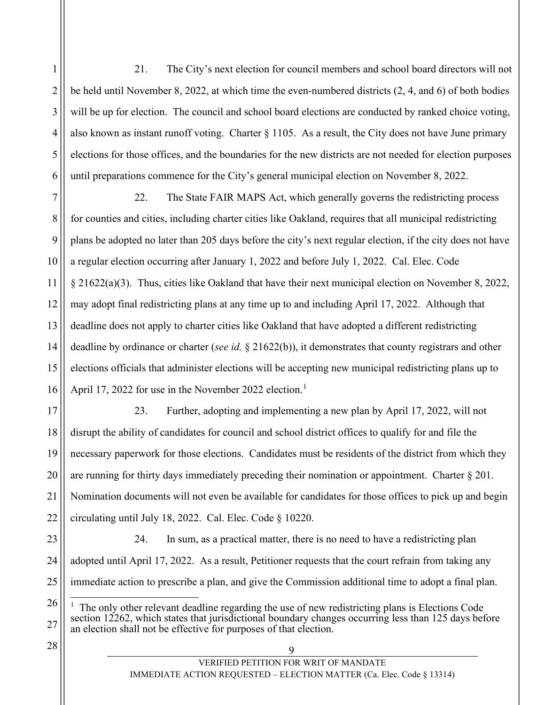1 2 3 4 5 6 21. The City's next election for council members and school board directors will not be held until November 8, 2022, at which time the even-numbered districts (2, 4, and 6) of both bodies will be up for election. The council and school board elections are conducted by ranked choice voting, also known as instant runoff voting. Charter  $\S 1105$ . As a result, the City does not have June primary elections for those offices, and the boundaries for the new districts are not needed for election purposes until preparations commence for the City's general municipal election on November 8, 2022.

7 8 9 10 11 12 13 14 15 16 22. The State FAIR MAPS Act, which generally governs the redistricting process for counties and cities, including charter cities like Oakland, requires that all municipal redistricting plans be adopted no later than 205 days before the city's next regular election, if the city does not have a regular election occurring after January 1, 2022 and before July 1, 2022. Cal. Elec. Code § 21622(a)(3). Thus, cities like Oakland that have their next municipal election on November 8, 2022, may adopt final redistricting plans at any time up to and including April 17, 2022. Although that deadline does not apply to charter cities like Oakland that have adopted a different redistricting deadline by ordinance or charter (*see id.* § 21622(b)), it demonstrates that county registrars and other elections officials that administer elections will be accepting new municipal redistricting plans up to April [1](#page-12-0)7, 2022 for use in the November 2022 election.<sup>1</sup>

17 18 19 20 21 22 23. Further, adopting and implementing a new plan by April 17, 2022, will not disrupt the ability of candidates for council and school district offices to qualify for and file the necessary paperwork for those elections. Candidates must be residents of the district from which they are running for thirty days immediately preceding their nomination or appointment. Charter  $\S 201$ . Nomination documents will not even be available for candidates for those offices to pick up and begin circulating until July 18, 2022. Cal. Elec. Code § 10220.

23 24 25 24. In sum, as a practical matter, there is no need to have a redistricting plan adopted until April 17, 2022. As a result, Petitioner requests that the court refrain from taking any immediate action to prescribe a plan, and give the Commission additional time to adopt a final plan.

<span id="page-12-0"></span>26 27 1 The only other relevant deadline regarding the use of new redistricting plans is Elections Code section 12262, which states that jurisdictional boundary changes occurring less than 125 days before an election shall not be effective for purposes of that election.

 $\begin{array}{c|c|c|c|c} \hline 28 & 9 \end{array}$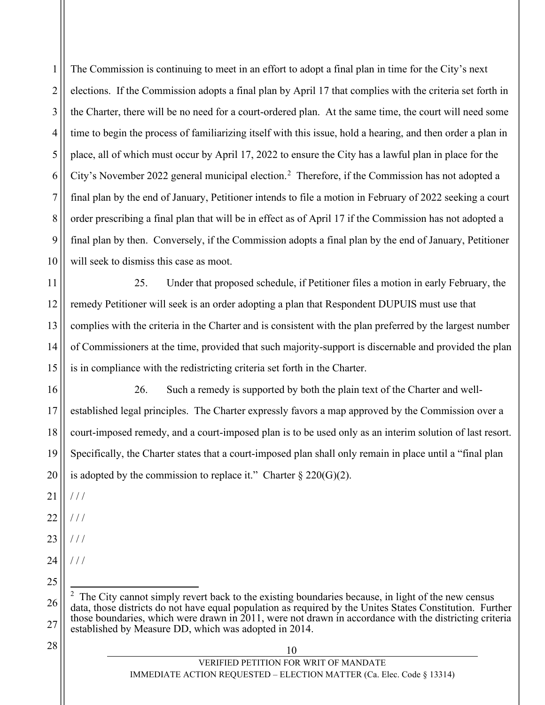1 2 3 4 5 6 7 8 9 10 The Commission is continuing to meet in an effort to adopt a final plan in time for the City's next elections. If the Commission adopts a final plan by April 17 that complies with the criteria set forth in the Charter, there will be no need for a court-ordered plan. At the same time, the court will need some time to begin the process of familiarizing itself with this issue, hold a hearing, and then order a plan in place, all of which must occur by April 17, 2022 to ensure the City has a lawful plan in place for the City's November [2](#page-13-0)022 general municipal election.<sup>2</sup> Therefore, if the Commission has not adopted a final plan by the end of January, Petitioner intends to file a motion in February of 2022 seeking a court order prescribing a final plan that will be in effect as of April 17 if the Commission has not adopted a final plan by then. Conversely, if the Commission adopts a final plan by the end of January, Petitioner will seek to dismiss this case as moot.

11 12 13 14 15 25. Under that proposed schedule, if Petitioner files a motion in early February, the remedy Petitioner will seek is an order adopting a plan that Respondent DUPUIS must use that complies with the criteria in the Charter and is consistent with the plan preferred by the largest number of Commissioners at the time, provided that such majority-support is discernable and provided the plan is in compliance with the redistricting criteria set forth in the Charter.

16 17 18 19 20 26. Such a remedy is supported by both the plain text of the Charter and wellestablished legal principles. The Charter expressly favors a map approved by the Commission over a court-imposed remedy, and a court-imposed plan is to be used only as an interim solution of last resort. Specifically, the Charter states that a court-imposed plan shall only remain in place until a "final plan is adopted by the commission to replace it." Charter  $\S 220(G)(2)$ .

21 / / /

- 22  $/$  /  $/$
- 23  $//$
- 24  $//$
- 25

<span id="page-13-0"></span>26 27 2 The City cannot simply revert back to the existing boundaries because, in light of the new census data, those districts do not have equal population as required by the Unites States Constitution. Further those boundaries, which were drawn in 2011, were not drawn in accordance with the districting criteria established by Measure DD, which was adopted in 2014.

 $\begin{array}{c|c|c|c|c} \hline 28 & 10 \end{array}$ 

VERIFIED PETITION FOR WRIT OF MANDATE IMMEDIATE ACTION REQUESTED – ELECTION MATTER (Ca. Elec. Code § 13314)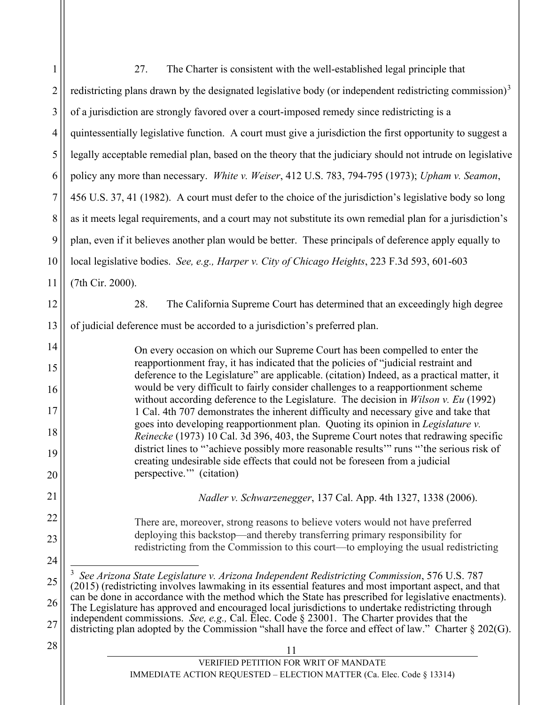<span id="page-14-0"></span>

| $\mathbf{1}$   | The Charter is consistent with the well-established legal principle that<br>27.                                                                                                                              |  |  |
|----------------|--------------------------------------------------------------------------------------------------------------------------------------------------------------------------------------------------------------|--|--|
| $\overline{c}$ | redistricting plans drawn by the designated legislative body (or independent redistricting commission) <sup>3</sup>                                                                                          |  |  |
| 3              | of a jurisdiction are strongly favored over a court-imposed remedy since redistricting is a                                                                                                                  |  |  |
| 4              | quintessentially legislative function. A court must give a jurisdiction the first opportunity to suggest a                                                                                                   |  |  |
| 5              | legally acceptable remedial plan, based on the theory that the judiciary should not intrude on legislative                                                                                                   |  |  |
| 6              | policy any more than necessary. White v. Weiser, 412 U.S. 783, 794-795 (1973); Upham v. Seamon,                                                                                                              |  |  |
| $\overline{7}$ | 456 U.S. 37, 41 (1982). A court must defer to the choice of the jurisdiction's legislative body so long                                                                                                      |  |  |
| $8\,$          | as it meets legal requirements, and a court may not substitute its own remedial plan for a jurisdiction's                                                                                                    |  |  |
| 9              | plan, even if it believes another plan would be better. These principals of deference apply equally to                                                                                                       |  |  |
| 10             | local legislative bodies. See, e.g., Harper v. City of Chicago Heights, 223 F.3d 593, 601-603                                                                                                                |  |  |
| 11             | (7th Cir. 2000).                                                                                                                                                                                             |  |  |
| 12             | The California Supreme Court has determined that an exceedingly high degree<br>28.                                                                                                                           |  |  |
| 13             | of judicial deference must be accorded to a jurisdiction's preferred plan.                                                                                                                                   |  |  |
| 14             | On every occasion on which our Supreme Court has been compelled to enter the                                                                                                                                 |  |  |
| 15             | reapportionment fray, it has indicated that the policies of "judicial restraint and<br>deference to the Legislature" are applicable. (citation) Indeed, as a practical matter, it                            |  |  |
| 16             | would be very difficult to fairly consider challenges to a reapportionment scheme<br>without according deference to the Legislature. The decision in <i>Wilson v. Eu</i> (1992)                              |  |  |
| 17             | 1 Cal. 4th 707 demonstrates the inherent difficulty and necessary give and take that<br>goes into developing reapportionment plan. Quoting its opinion in Legislature v.                                     |  |  |
| 18             | Reinecke (1973) 10 Cal. 3d 396, 403, the Supreme Court notes that redrawing specific                                                                                                                         |  |  |
| 19             | district lines to "achieve possibly more reasonable results" runs "the serious risk of<br>creating undesirable side effects that could not be foreseen from a judicial                                       |  |  |
| 20             | perspective."" (citation)                                                                                                                                                                                    |  |  |
| 21             | Nadler v. Schwarzenegger, 137 Cal. App. 4th 1327, 1338 (2006).                                                                                                                                               |  |  |
| 22             | There are, moreover, strong reasons to believe voters would not have preferred                                                                                                                               |  |  |
| 23             | deploying this backstop—and thereby transferring primary responsibility for<br>redistricting from the Commission to this court—to employing the usual redistricting                                          |  |  |
| 24             |                                                                                                                                                                                                              |  |  |
| 25             | See Arizona State Legislature v. Arizona Independent Redistricting Commission, 576 U.S. 787<br>(2015) (redistricting involves lawmaking in its essential features and most important aspect, and that        |  |  |
| 26             | can be done in accordance with the method which the State has prescribed for legislative enactments).<br>The Legislature has approved and encouraged local jurisdictions to undertake redistricting through  |  |  |
| 27             | independent commissions. See, e.g., Cal. Elec. Code $\S 23001$ . The Charter provides that the<br>districting plan adopted by the Commission "shall have the force and effect of law." Charter $\S 202(G)$ . |  |  |
| 28             | 11                                                                                                                                                                                                           |  |  |
|                | VERIFIED PETITION FOR WRIT OF MANDATE<br><b>IMMEDIATE ACTION REQUESTED – ELECTION MATTER (Ca. Elec. Code § 13314)</b>                                                                                        |  |  |
|                |                                                                                                                                                                                                              |  |  |
|                |                                                                                                                                                                                                              |  |  |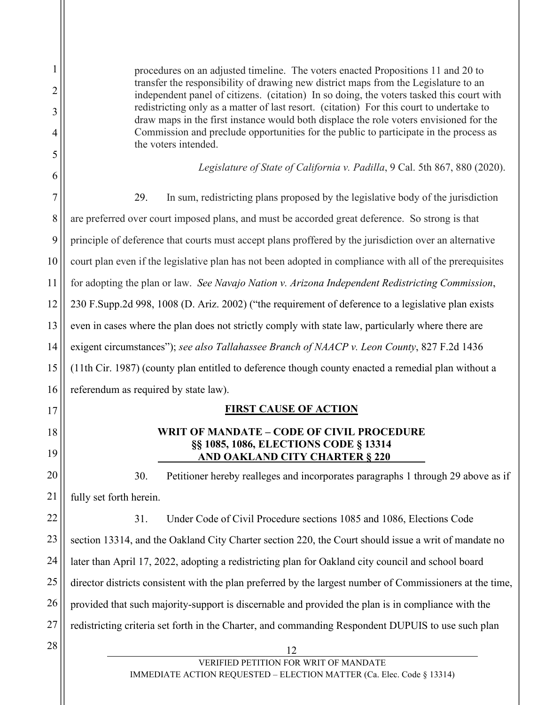| 2  | procedures on an adjusted timeline. The voters enacted Propositions 11 and 20 to<br>transfer the responsibility of drawing new district maps from the Legislature to an<br>independent panel of citizens. (citation) In so doing, the voters tasked this court with<br>redistricting only as a matter of last resort. (citation) For this court to undertake to |  |  |
|----|-----------------------------------------------------------------------------------------------------------------------------------------------------------------------------------------------------------------------------------------------------------------------------------------------------------------------------------------------------------------|--|--|
| 3  |                                                                                                                                                                                                                                                                                                                                                                 |  |  |
| 4  | draw maps in the first instance would both displace the role voters envisioned for the<br>Commission and preclude opportunities for the public to participate in the process as                                                                                                                                                                                 |  |  |
| 5  | the voters intended.                                                                                                                                                                                                                                                                                                                                            |  |  |
| 6  | Legislature of State of California v. Padilla, 9 Cal. 5th 867, 880 (2020).                                                                                                                                                                                                                                                                                      |  |  |
| 7  | 29.<br>In sum, redistricting plans proposed by the legislative body of the jurisdiction                                                                                                                                                                                                                                                                         |  |  |
| 8  | are preferred over court imposed plans, and must be accorded great deference. So strong is that                                                                                                                                                                                                                                                                 |  |  |
| 9  | principle of deference that courts must accept plans proffered by the jurisdiction over an alternative                                                                                                                                                                                                                                                          |  |  |
| 10 | court plan even if the legislative plan has not been adopted in compliance with all of the prerequisites                                                                                                                                                                                                                                                        |  |  |
| 11 | for adopting the plan or law. See Navajo Nation v. Arizona Independent Redistricting Commission,                                                                                                                                                                                                                                                                |  |  |
| 12 | 230 F.Supp.2d 998, 1008 (D. Ariz. 2002) ("the requirement of deference to a legislative plan exists                                                                                                                                                                                                                                                             |  |  |
| 13 | even in cases where the plan does not strictly comply with state law, particularly where there are                                                                                                                                                                                                                                                              |  |  |
| 14 | exigent circumstances"); see also Tallahassee Branch of NAACP v. Leon County, 827 F.2d 1436                                                                                                                                                                                                                                                                     |  |  |
| 15 | (11th Cir. 1987) (county plan entitled to deference though county enacted a remedial plan without a                                                                                                                                                                                                                                                             |  |  |
| 16 | referendum as required by state law).                                                                                                                                                                                                                                                                                                                           |  |  |
| 17 | <b>FIRST CAUSE OF ACTION</b>                                                                                                                                                                                                                                                                                                                                    |  |  |
| 18 | <b>WRIT OF MANDATE - CODE OF CIVIL PROCEDURE</b>                                                                                                                                                                                                                                                                                                                |  |  |
| 19 | <b>§§ 1085, 1086, ELECTIONS CODE § 13314</b><br><b>AND OAKLAND CITY CHARTER § 220</b>                                                                                                                                                                                                                                                                           |  |  |
| 20 | 30.<br>Petitioner hereby realleges and incorporates paragraphs 1 through 29 above as if                                                                                                                                                                                                                                                                         |  |  |
| 21 | fully set forth herein.                                                                                                                                                                                                                                                                                                                                         |  |  |
| 22 | 31.<br>Under Code of Civil Procedure sections 1085 and 1086, Elections Code                                                                                                                                                                                                                                                                                     |  |  |
| 23 | section 13314, and the Oakland City Charter section 220, the Court should issue a writ of mandate no                                                                                                                                                                                                                                                            |  |  |
| 24 | later than April 17, 2022, adopting a redistricting plan for Oakland city council and school board                                                                                                                                                                                                                                                              |  |  |
| 25 | director districts consistent with the plan preferred by the largest number of Commissioners at the time,                                                                                                                                                                                                                                                       |  |  |
| 26 | provided that such majority-support is discernable and provided the plan is in compliance with the                                                                                                                                                                                                                                                              |  |  |
| 27 | redistricting criteria set forth in the Charter, and commanding Respondent DUPUIS to use such plan                                                                                                                                                                                                                                                              |  |  |
| 28 | 12                                                                                                                                                                                                                                                                                                                                                              |  |  |
|    | VERIFIED PETITION FOR WRIT OF MANDATE<br><b>IMMEDIATE ACTION REQUESTED – ELECTION MATTER (Ca. Elec. Code § 13314)</b>                                                                                                                                                                                                                                           |  |  |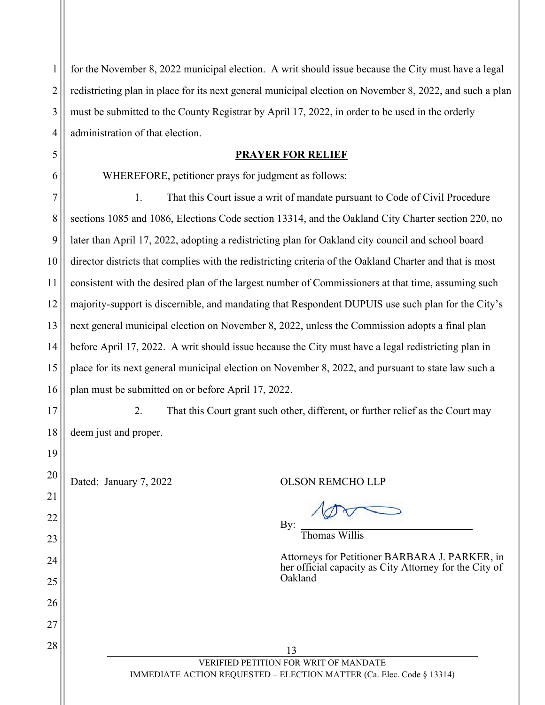1 2 3 4 5 for the November 8, 2022 municipal election. A writ should issue because the City must have a legal redistricting plan in place for its next general municipal election on November 8, 2022, and such a plan must be submitted to the County Registrar by April 17, 2022, in order to be used in the orderly administration of that election. **PRAYER FOR RELIEF** 

## WHEREFORE, petitioner prays for judgment as follows:

7 8 9 10 11 12 13 14 15 16 1. That this Court issue a writ of mandate pursuant to Code of Civil Procedure sections 1085 and 1086, Elections Code section 13314, and the Oakland City Charter section 220, no later than April 17, 2022, adopting a redistricting plan for Oakland city council and school board director districts that complies with the redistricting criteria of the Oakland Charter and that is most consistent with the desired plan of the largest number of Commissioners at that time, assuming such majority-support is discernible, and mandating that Respondent DUPUIS use such plan for the City's next general municipal election on November 8, 2022, unless the Commission adopts a final plan before April 17, 2022. A writ should issue because the City must have a legal redistricting plan in place for its next general municipal election on November 8, 2022, and pursuant to state law such a plan must be submitted on or before April 17, 2022.

17

18

19

20

21

22

23

24

25

26

27

6

2. That this Court grant such other, different, or further relief as the Court may deem just and proper.

Dated: January 7, 2022 QUOSON REMCHO LLP

By:

Thomas Willis

Attorneys for Petitioner BARBARA J. PARKER, in her official capacity as City Attorney for the City of Oakland